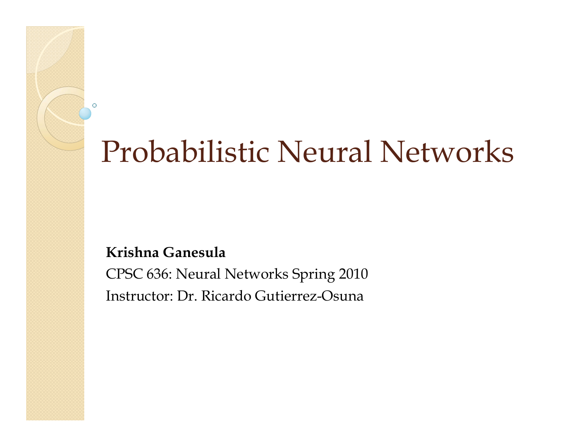### Probabilistic Neural Networks

#### **Krishna Ganesula**

 $\circ$ 

CPSC 636: Neural Networks Spring 2010 Instructor: Dr. Ricardo Gutierrez-Osuna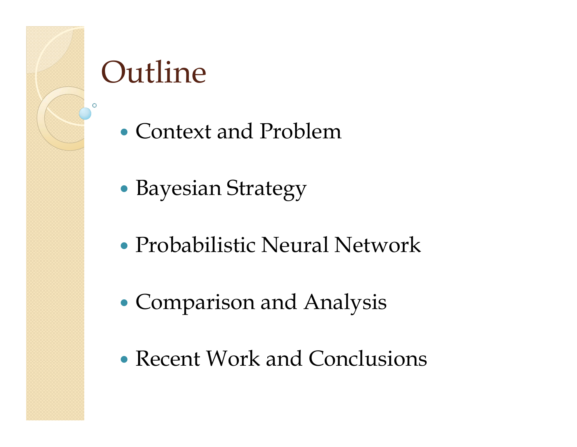## Outline

 $\circ$ 

- Context and Problem
- Bayesian Strategy
- Probabilistic Neural Network
- $\bullet$ Comparison and Analysis
- Recent Work and Conclusions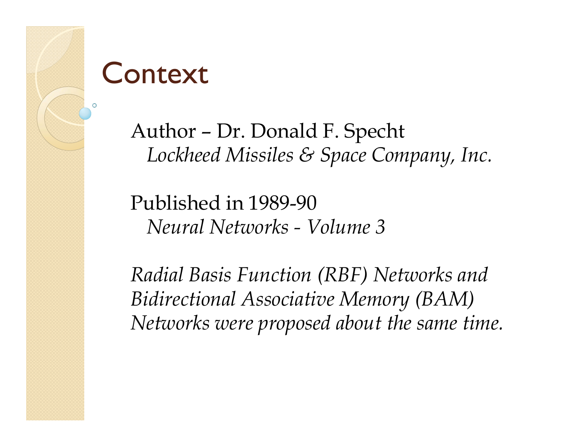### **Context**

 $\circ$ 

Author – Dr. Donald F. Specht *Lockheed Missiles & Space Company, Inc.*

Published in 1989-90 *Neural Networks - Volume 3*

*Radial Basis Function (RBF) Networks and Bidirectional Associative Memory ( ) BAM Networks were proposed about the same time.*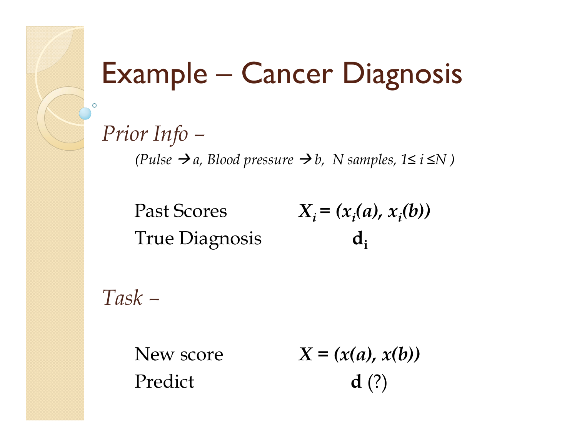### Example – Cancer Diagnosis

*Prior Info –*

 $\circ$ 

 $(Pulse → a, Blood pressure → b, N samples, 1 ≤ i ≤ N)$ 

Past Scores  $X_i = (x_i(a), x_i(b))$ True Diagnosis **di**

*Task –*

New score  $X = (x(a), x(b))$ Predict **d** (?)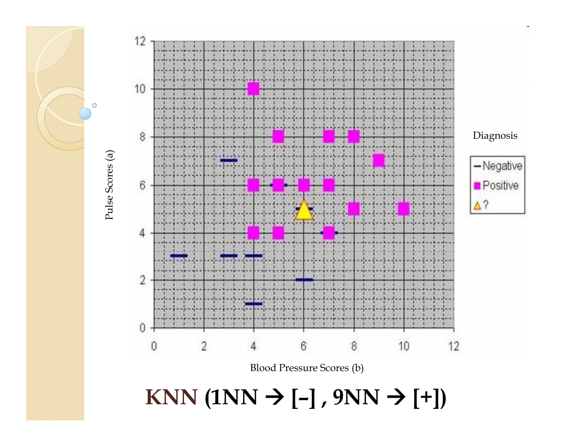

#### KNN  $(1NN \rightarrow [-], 9NN \rightarrow [+])$

Diagnosis

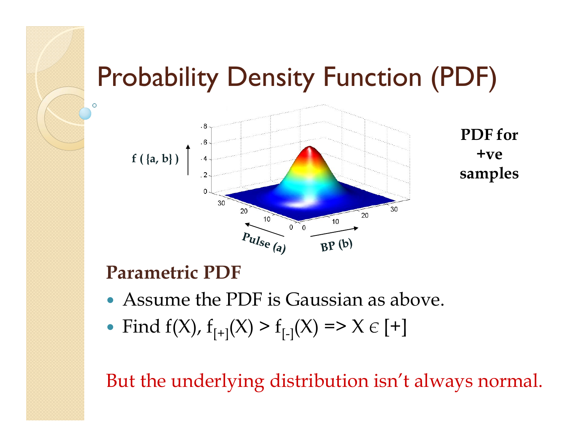### **Probability Density Function (PDF)**



#### **Parametric PDF**

- Assume the PDF is Gaussian as above.
- Find  $f(X)$ ,  $f_{[+]}(X) > f_{[-]}(X)$  =>  $X \in [+]$

But the underlying distribution isn't always normal.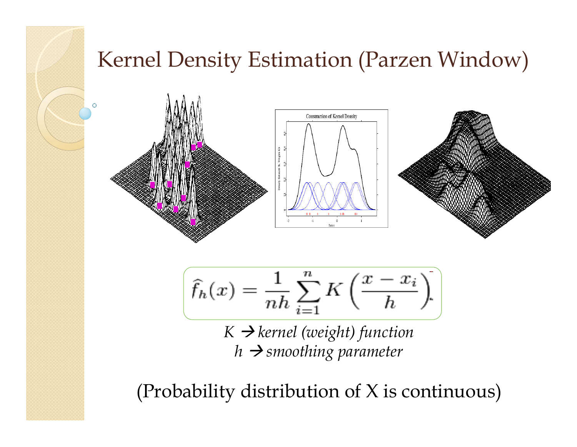#### Kernel Density Estimation (Parzen Window)



$$
\widehat{f_h}(x) = \frac{1}{nh} \sum_{i=1}^n K\left(\frac{x - x_i}{h}\right)
$$

*K*  Æ *kernel (weight) function h*  Æ *smoothing parameter* 

(Probability distribution of X is continuous)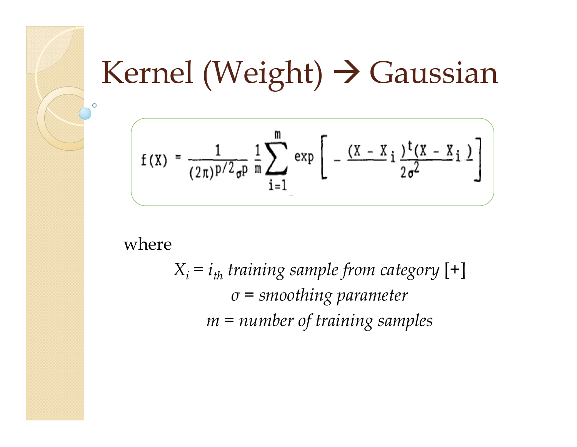## Kernel (Weight)  $\rightarrow$  Gaussian

$$
f(X) = \frac{1}{(2\pi)^{p/2} \sigma^p} \frac{1}{m} \sum_{i=1}^m \exp\left[-\frac{(X-X_i)^t (X-X_i)}{2\sigma^2} i \cdot \frac{1}{2}\right]
$$

where

 $\circ$ 

 $X^{}_{i}$  =  $i^{}_{th}$  training sample from category [+]  $\,$ *σ = smoothing parameter m = number of training samples*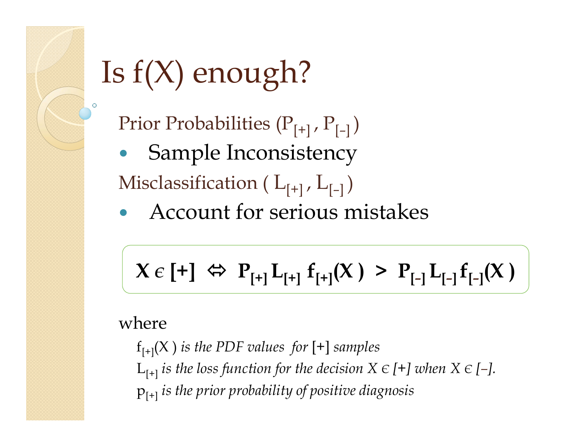# Is  $f(X)$  enough?

Prior Probabilities (P<sub>[+]</sub>, P<sub>[-]</sub>)

- $\bullet$  Sample Inconsistenc y Misclassification (  $\text{L}_{\text{\tiny{[+]}}}$  ,  $\text{L}_{\text{\tiny{[-]}}})$
- $\bullet$ Account for serious mistakes

#### **X**  *Є* **[+]**  Ù  $P_{[+]} L_{[+]} f_{[+]}(X) > P_{[-]}$  $\mathbf{L}_{\left[ \text{-}\right] }$  $\mathbf{f}_{[-]}\mathbf{(X)}$

where

 $\circ$ 

 $f_{[+]}(X)$  *is the PDF values for*  $[+]$  *samples*  $\mathrm{L}_{[+]}$  is the loss function for the decision  $\mathrm{X} \in [+]$  when  $\mathrm{X} \in [-]$ . p[+] *is the prior probability of positive diagnosis*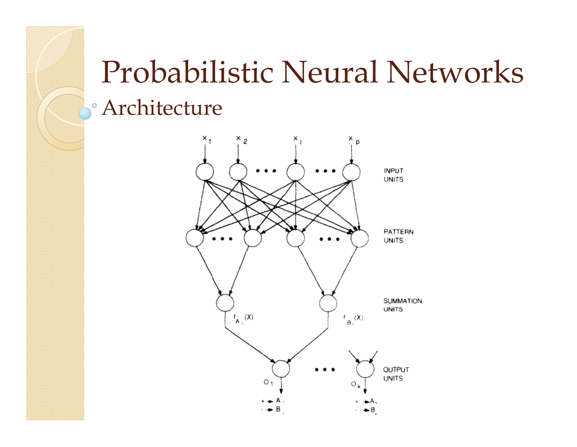### Probabilistic Neural Networks Architecture

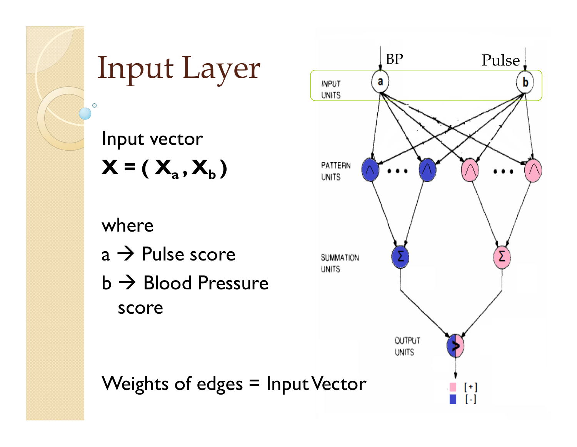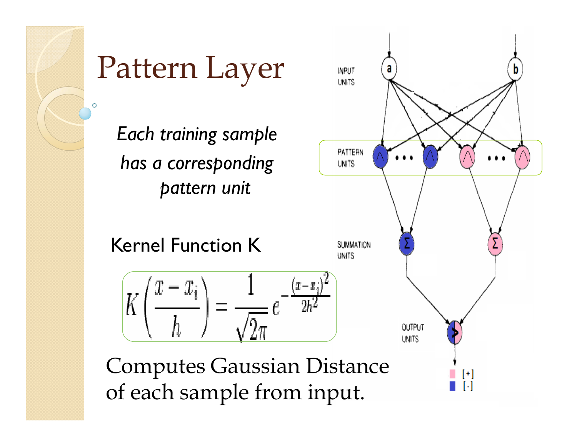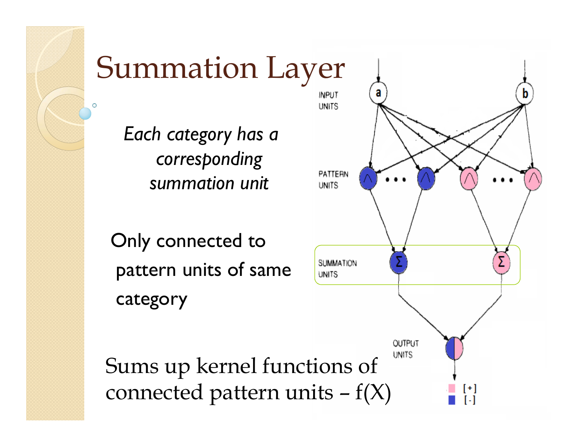### **Summation Layer**

Each category has a corresponding summation unit

 $\circ$ 

Only connected to pattern units of same category

Sums up kernel functions of connected pattern units  $- f(X)$ 

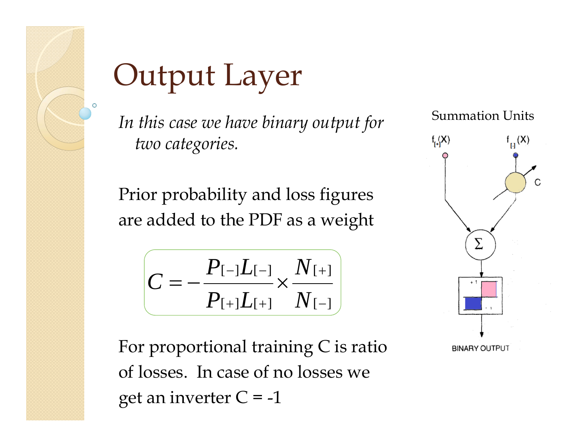## Output Layer

 $\circ$ 

*In this case we have binary output for t t i two ca tegor ies.*

Prior probability and loss figures are added to the PDF as a weight

$$
C = -\frac{P_{[-1}L_{[-]}}{P_{[+]}L_{[+]}} \times \frac{N_{[+]}}{N_{[-]}}
$$



For proportional training C is ratio of losses. In case of no losses weget an inverter  $C = -1$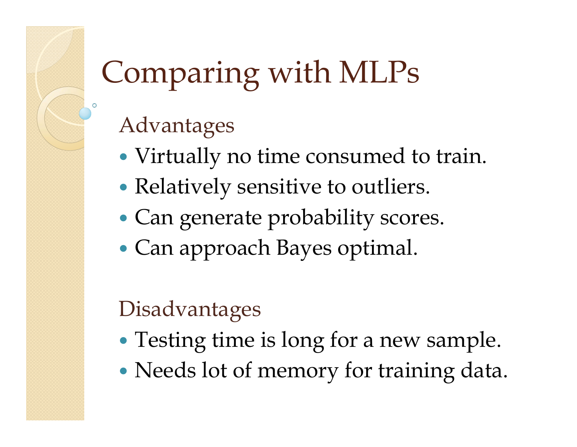# Comparing with MLPs

#### Advantages

 $\circ$ 

- $\bullet$ Virtually no time consumed to train.
- Relatively sensitive to outliers.
- $\bullet$ Can generate probability scores.
- $\bullet$ Can approach Bayes optimal.

#### Disadvantages

- $\bullet$ Testing time is long for a new sample.
- Needs lot of memory for training data.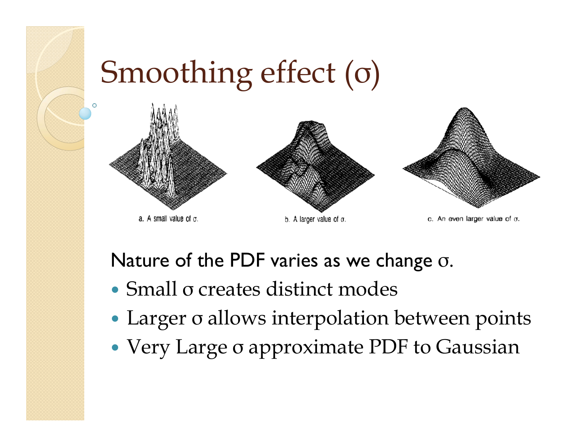#### Smoothing effect ( σ )



#### Nature of the PDF varies as we change σ.

- Small σ creates distinct modes
- Larger σ allows interpolation between points
- Very Large σ approximate PDF to Gaussian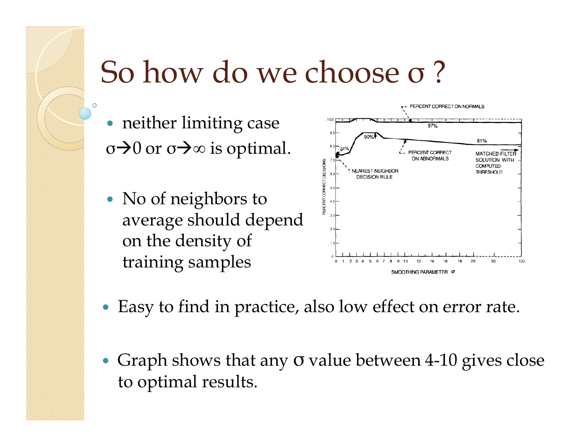### So how do we choose σ?

- neither limiting case σ Æ0 or σ Æ **∞** is optimal.
- No of neighbors to average should depend on the densit y of training samples



- Easy to find in practice, also low effect on error rate.
- Graph shows that any σ value between 4-10 gives close to optimal results.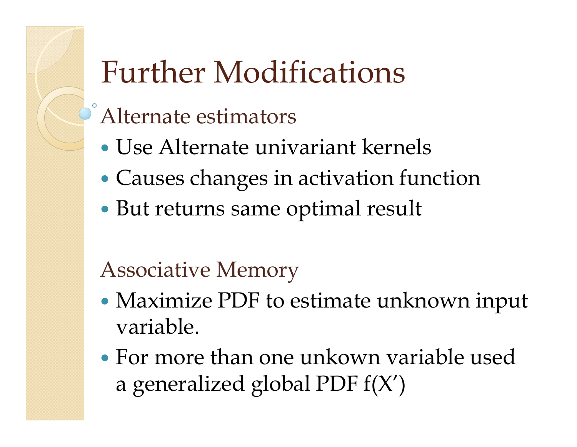### **Further Modifications**

#### Alternate estimators

- Use Alternate univariant kernels
- Causes changes in activation function
- But returns same optimal result

#### **Associative Memory**

- Maximize PDF to estimate unknown input variable.
- For more than one unkown variable used a generalized global PDF  $f(X')$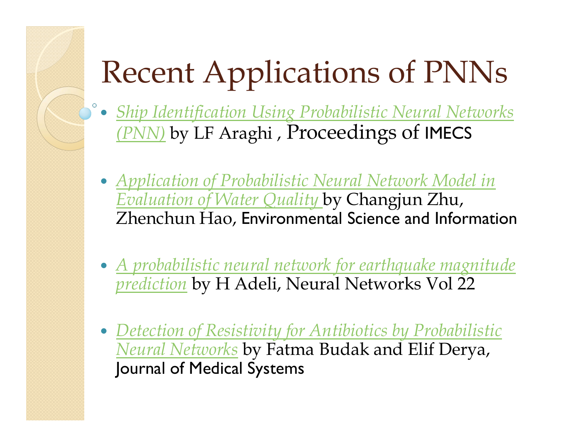# Recent Applications of PNNs

- *Ship Identification Using Probabilistic Neural Networks (PNN)* by LF Araghi, Proceedings of IMECS
- *Application of Probabilistic Neural Network Model in <sup>E</sup> l ti f W <sup>t</sup> Q lit Eva luation of Wa ter Quality* b Ch j Zh y Changjun Zhu, Zhenchun Hao, Environmental Science and Information
- A probabilistic neural network for earthquake magnitude *prediction* by H Adeli, Neural Networks Vol 22
- <u>Detection of Resistivity for Antibiotics by Probabilistic</u> *Neural Networks* by Fatma Budak and Elif Derya, Journal of Medical Systems